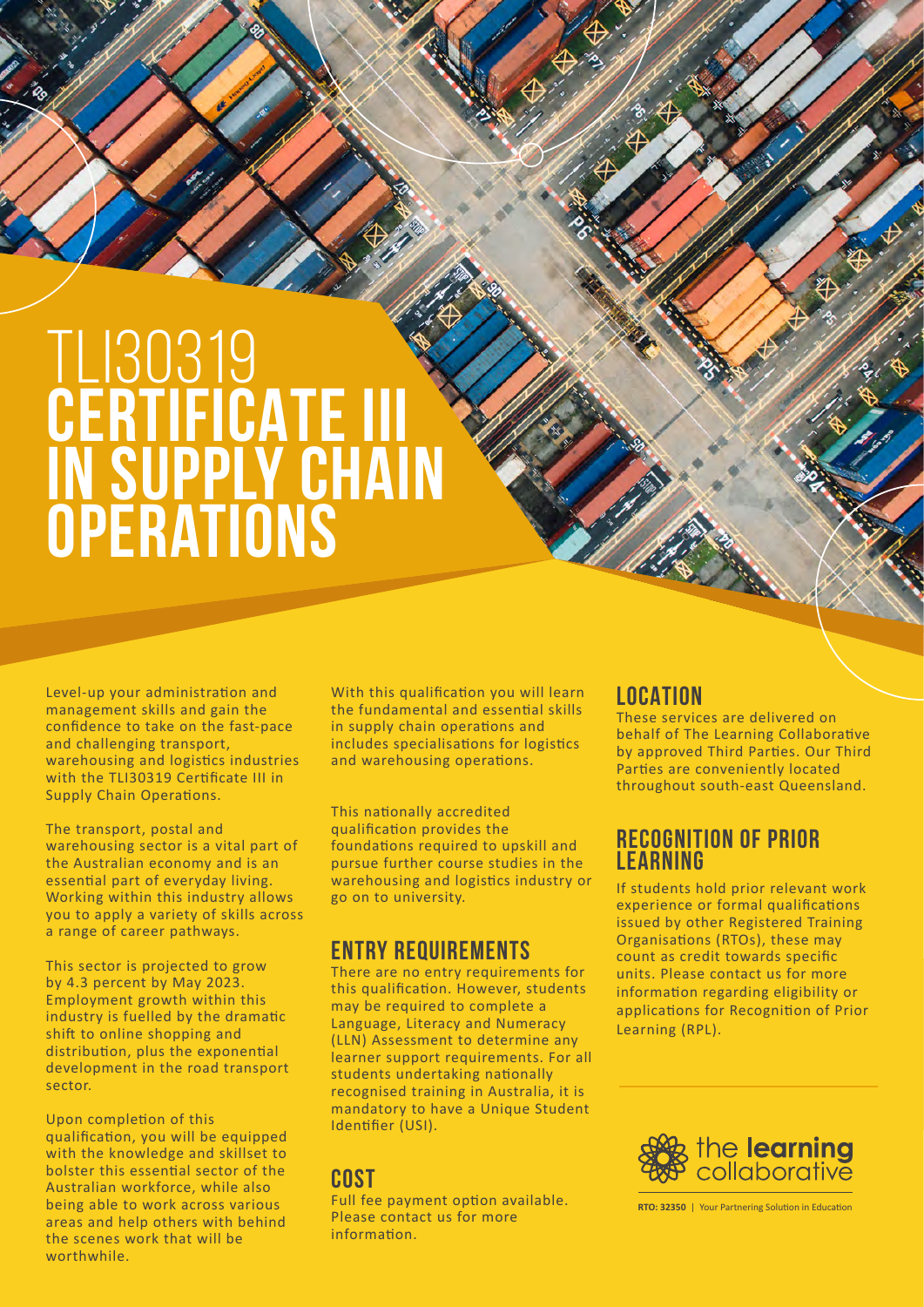# TLI30319 **CERTIFICATE III in supply chain operations**

Level-up your administration and management skills and gain the confidence to take on the fast-pace and challenging transport, warehousing and logistics industries with the TLI30319 Certificate III in Supply Chain Operations.

The transport, postal and warehousing sector is a vital part of the Australian economy and is an essential part of everyday living. Working within this industry allows you to apply a variety of skills across a range of career pathways.

This sector is projected to grow by 4.3 percent by May 2023. Employment growth within this industry is fuelled by the dramatic shift to online shopping and distribution, plus the exponential development in the road transport sector.

Upon completion of this qualification, you will be equipped with the knowledge and skillset to bolster this essential sector of the Australian workforce, while also being able to work across various areas and help others with behind the scenes work that will be worthwhile

With this qualification you will learn the fundamental and essential skills in supply chain operations and includes specialisations for logistics and warehousing operations.

This nationally accredited qualification provides the foundations required to upskill and pursue further course studies in the warehousing and logistics industry or go on to university.

### **ENTRY REQUIREMENTS**

There are no entry requirements for this qualification. However, students may be required to complete a Language, Literacy and Numeracy (LLN) Assessment to determine any learner support requirements. For all students undertaking nationally recognised training in Australia, it is mandatory to have a Unique Student Identifier (USI).

## **COST**

Full fee payment option available. Please contact us for more information.

# **LOCATION**

These services are delivered on behalf of The Learning Collaborative by approved Third Parties. Our Third Parties are conveniently located throughout south-east Queensland.

## **RECOGNITION OF PRIOR LEARNING**

If students hold prior relevant work experience or formal qualifications issued by other Registered Training Organisations (RTOs), these may count as credit towards specific units. Please contact us for more information regarding eligibility or applications for Recognition of Prior Learning (RPL).



**RTO: 32350** | Your Partnering Solution in Education